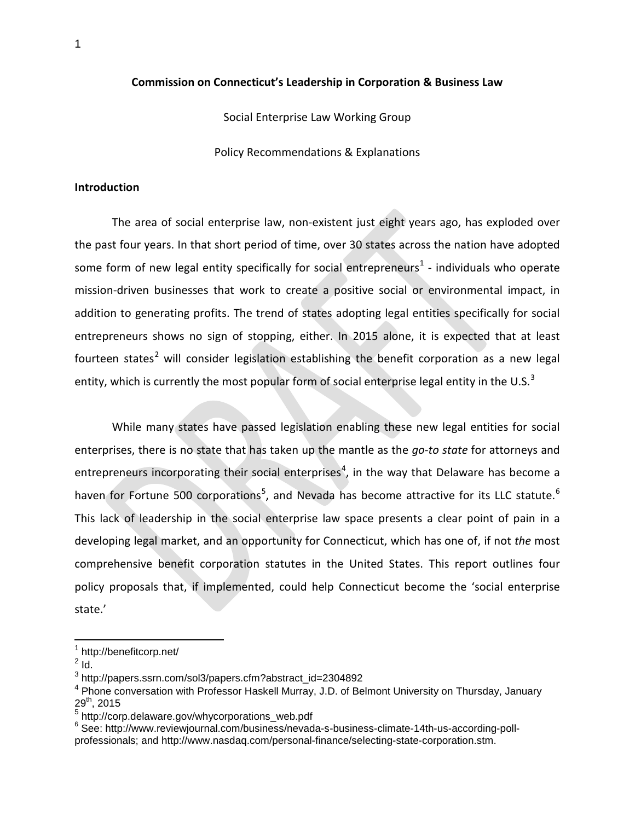### **Commission on Connecticut's Leadership in Corporation & Business Law**

Social Enterprise Law Working Group

Policy Recommendations & Explanations

## **Introduction**

The area of social enterprise law, non-existent just eight years ago, has exploded over the past four years. In that short period of time, over 30 states across the nation have adopted some form of new legal entity specifically for social entrepreneurs<sup>[1](#page-0-0)</sup> - individuals who operate mission-driven businesses that work to create a positive social or environmental impact, in addition to generating profits. The trend of states adopting legal entities specifically for social entrepreneurs shows no sign of stopping, either. In 2015 alone, it is expected that at least fourteen states<sup>[2](#page-0-1)</sup> will consider legislation establishing the benefit corporation as a new legal entity, which is currently the most popular form of social enterprise legal entity in the U.S. $3$ 

While many states have passed legislation enabling these new legal entities for social enterprises, there is no state that has taken up the mantle as the *go-to state* for attorneys and entrepreneurs incorporating their social enterprises<sup>[4](#page-0-3)</sup>, in the way that Delaware has become a haven for Fortune [5](#page-0-4)00 corporations<sup>5</sup>, and Nevada has become attractive for its LLC statute.<sup>[6](#page-0-5)</sup> This lack of leadership in the social enterprise law space presents a clear point of pain in a developing legal market, and an opportunity for Connecticut, which has one of, if not *the* most comprehensive benefit corporation statutes in the United States. This report outlines four policy proposals that, if implemented, could help Connecticut become the 'social enterprise state.'

 <sup>1</sup> http://benefitcorp.net/

<span id="page-0-1"></span><span id="page-0-0"></span> $<sup>2</sup>$  Id.</sup>

<span id="page-0-2"></span><sup>3</sup> http://papers.ssrn.com/sol3/papers.cfm?abstract\_id=2304892

<span id="page-0-3"></span><sup>&</sup>lt;sup>4</sup> Phone conversation with Professor Haskell Murray, J.D. of Belmont University on Thursday, January  $29<sup>th</sup>$ , 2015<br>  $5$  http://corp.delaware.gov/whycorporations\_web.pdf

<span id="page-0-4"></span>

<span id="page-0-5"></span><sup>&</sup>lt;sup>6</sup> See: http://www.reviewjournal.com/business/nevada-s-business-climate-14th-us-according-pollprofessionals; and http://www.nasdaq.com/personal-finance/selecting-state-corporation.stm.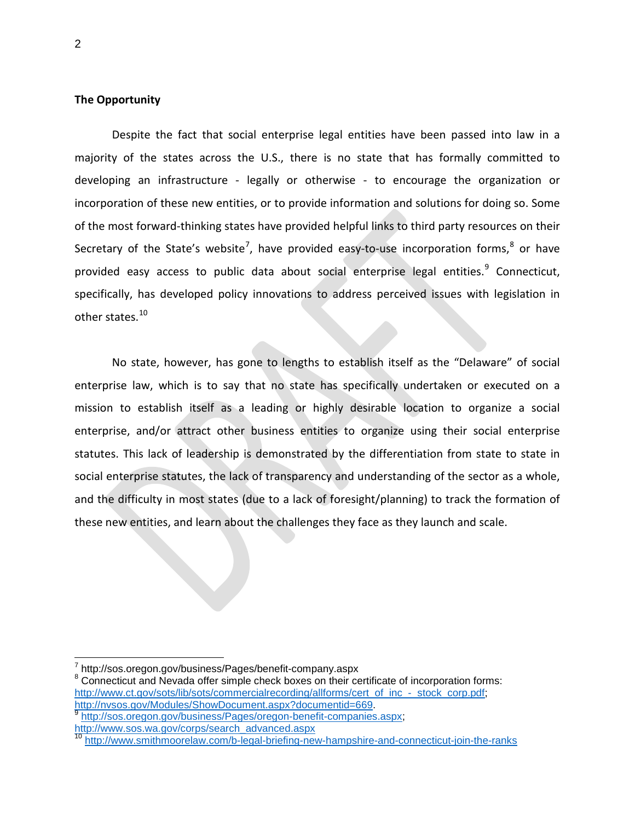## **The Opportunity**

Despite the fact that social enterprise legal entities have been passed into law in a majority of the states across the U.S., there is no state that has formally committed to developing an infrastructure - legally or otherwise - to encourage the organization or incorporation of these new entities, or to provide information and solutions for doing so. Some of the most forward-thinking states have provided helpful links to third party resources on their Secretary of the State's website<sup>[7](#page-1-0)</sup>, have provided easy-to-use incorporation forms,<sup>[8](#page-1-1)</sup> or have provided easy access to public data about social enterprise legal entities.<sup>[9](#page-1-2)</sup> Connecticut, specifically, has developed policy innovations to address perceived issues with legislation in other states.<sup>[10](#page-1-3)</sup>

No state, however, has gone to lengths to establish itself as the "Delaware" of social enterprise law, which is to say that no state has specifically undertaken or executed on a mission to establish itself as a leading or highly desirable location to organize a social enterprise, and/or attract other business entities to organize using their social enterprise statutes. This lack of leadership is demonstrated by the differentiation from state to state in social enterprise statutes, the lack of transparency and understanding of the sector as a whole, and the difficulty in most states (due to a lack of foresight/planning) to track the formation of these new entities, and learn about the challenges they face as they launch and scale.

<span id="page-1-1"></span>

<span id="page-1-0"></span> $\frac{7}{8}$  http://sos.oregon.gov/business/Pages/benefit-company.aspx<br> $\frac{8}{8}$  Connecticut and Nevada offer simple check boxes on their certificate of incorporation forms: [http://www.ct.gov/sots/lib/sots/commercialrecording/allforms/cert\\_of\\_inc\\_-\\_stock\\_corp.pdf;](http://www.ct.gov/sots/lib/sots/commercialrecording/allforms/cert_of_inc_-_stock_corp.pdf)<br>http://nvsos.gov/Modules/ShowDocument.aspx?documentid=669

<span id="page-1-2"></span><sup>&</sup>lt;sup>[9](http://nvsos.gov/Modules/ShowDocument.aspx?documentid=669)</sup> [http://sos.oregon.gov/business/Pages/oregon-benefit-companies.aspx;](http://sos.oregon.gov/business/Pages/oregon-benefit-companies.aspx) [http://www.sos.wa.gov/corps/search\\_advanced.aspx](http://www.sos.wa.gov/corps/search_advanced.aspx)

<span id="page-1-3"></span><http://www.smithmoorelaw.com/b-legal-briefing-new-hampshire-and-connecticut-join-the-ranks>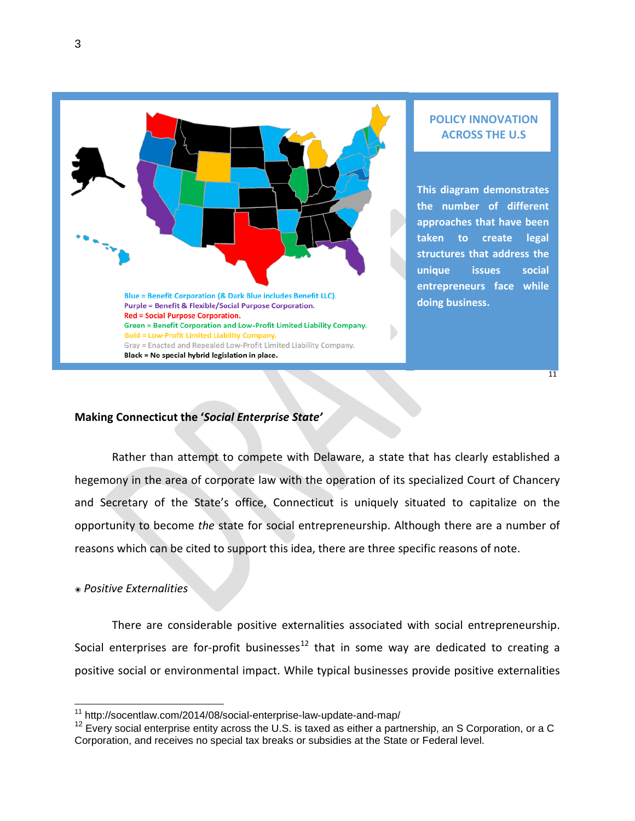

# **POLICY INNOVATION ACROSS THE U.S**

**This diagram demonstrates the number of different approaches that have been taken to create legal structures that address the unique issues social entrepreneurs face while doing business.** 

[11](#page-2-0)

# **Making Connecticut the '***Social Enterprise State'*

Rather than attempt to compete with Delaware, a state that has clearly established a hegemony in the area of corporate law with the operation of its specialized Court of Chancery and Secretary of the State's office, Connecticut is uniquely situated to capitalize on the opportunity to become *the* state for social entrepreneurship. Although there are a number of reasons which can be cited to support this idea, there are three specific reasons of note.

## ๏ *Positive Externalities*

There are considerable positive externalities associated with social entrepreneurship. Social enterprises are for-profit businesses<sup>[12](#page-2-1)</sup> that in some way are dedicated to creating a positive social or environmental impact. While typical businesses provide positive externalities

<span id="page-2-0"></span> <sup>11</sup> http://socentlaw.com/2014/08/social-enterprise-law-update-and-map/

<span id="page-2-1"></span> $12$  Every social enterprise entity across the U.S. is taxed as either a partnership, an S Corporation, or a C Corporation, and receives no special tax breaks or subsidies at the State or Federal level.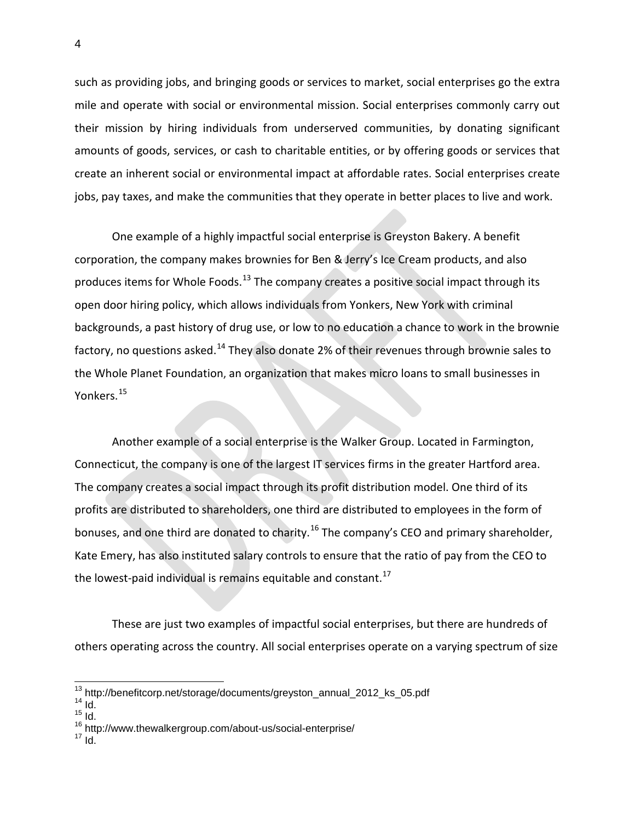such as providing jobs, and bringing goods or services to market, social enterprises go the extra mile and operate with social or environmental mission. Social enterprises commonly carry out their mission by hiring individuals from underserved communities, by donating significant amounts of goods, services, or cash to charitable entities, or by offering goods or services that create an inherent social or environmental impact at affordable rates. Social enterprises create jobs, pay taxes, and make the communities that they operate in better places to live and work.

One example of a highly impactful social enterprise is Greyston Bakery. A benefit corporation, the company makes brownies for Ben & Jerry's Ice Cream products, and also produces items for Whole Foods.<sup>[13](#page-3-0)</sup> The company creates a positive social impact through its open door hiring policy, which allows individuals from Yonkers, New York with criminal backgrounds, a past history of drug use, or low to no education a chance to work in the brownie factory, no questions asked.<sup>[14](#page-3-1)</sup> They also donate 2% of their revenues through brownie sales to the Whole Planet Foundation, an organization that makes micro loans to small businesses in Yonkers.<sup>[15](#page-3-2)</sup>

Another example of a social enterprise is the Walker Group. Located in Farmington, Connecticut, the company is one of the largest IT services firms in the greater Hartford area. The company creates a social impact through its profit distribution model. One third of its profits are distributed to shareholders, one third are distributed to employees in the form of bonuses, and one third are donated to charity.<sup>[16](#page-3-3)</sup> The company's CEO and primary shareholder, Kate Emery, has also instituted salary controls to ensure that the ratio of pay from the CEO to the lowest-paid individual is remains equitable and constant. $^{17}$  $^{17}$  $^{17}$ 

These are just two examples of impactful social enterprises, but there are hundreds of others operating across the country. All social enterprises operate on a varying spectrum of size

<span id="page-3-1"></span><span id="page-3-0"></span><sup>13</sup> http://benefitcorp.net/storage/documents/greyston\_annual\_2012\_ks\_05.pdf <sup>14</sup> Id.

 $15 \over 10$ .

<span id="page-3-3"></span><span id="page-3-2"></span><sup>&</sup>lt;sup>16</sup> http://www.thewalkergroup.com/about-us/social-enterprise/<br><sup>17</sup> Id.

<span id="page-3-4"></span>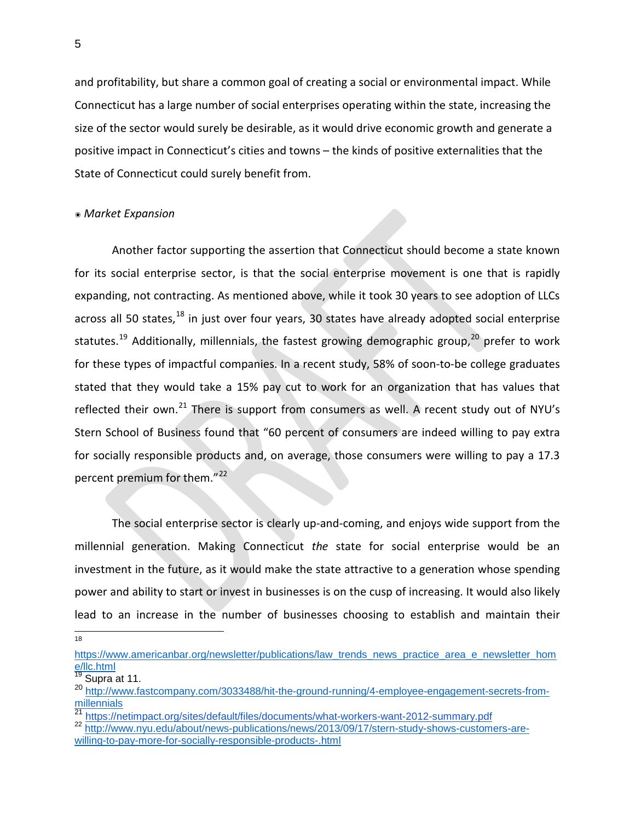and profitability, but share a common goal of creating a social or environmental impact. While Connecticut has a large number of social enterprises operating within the state, increasing the size of the sector would surely be desirable, as it would drive economic growth and generate a positive impact in Connecticut's cities and towns – the kinds of positive externalities that the State of Connecticut could surely benefit from.

#### ๏ *Market Expansion*

Another factor supporting the assertion that Connecticut should become a state known for its social enterprise sector, is that the social enterprise movement is one that is rapidly expanding, not contracting. As mentioned above, while it took 30 years to see adoption of LLCs across all 50 states, $^{18}$  $^{18}$  $^{18}$  in just over four years, 30 states have already adopted social enterprise statutes.<sup>[19](#page-4-1)</sup> Additionally, millennials, the fastest growing demographic group,<sup>[20](#page-4-2)</sup> prefer to work for these types of impactful companies. In a recent study, 58% of soon-to-be college graduates stated that they would take a 15% pay cut to work for an organization that has values that reflected their own.<sup>[21](#page-4-3)</sup> There is support from consumers as well. A recent study out of NYU's Stern School of Business found that "60 percent of consumers are indeed willing to pay extra for socially responsible products and, on average, those consumers were willing to pay a 17.3 percent premium for them."<sup>[22](#page-4-4)</sup>

The social enterprise sector is clearly up-and-coming, and enjoys wide support from the millennial generation. Making Connecticut *the* state for social enterprise would be an investment in the future, as it would make the state attractive to a generation whose spending power and ability to start or invest in businesses is on the cusp of increasing. It would also likely lead to an increase in the number of businesses choosing to establish and maintain their

18

<span id="page-4-0"></span>[https://www.americanbar.org/newsletter/publications/law\\_trends\\_news\\_practice\\_area\\_e\\_newsletter\\_hom](https://www.americanbar.org/newsletter/publications/law_trends_news_practice_area_e_newsletter_home/llc.html) [e/llc.html](https://www.americanbar.org/newsletter/publications/law_trends_news_practice_area_e_newsletter_home/llc.html)

<span id="page-4-1"></span> $\frac{19}{19}$  Supra at 11.

<span id="page-4-2"></span><sup>20</sup> [http://www.fastcompany.com/3033488/hit-the-ground-running/4-employee-engagement-secrets-from](http://www.fastcompany.com/3033488/hit-the-ground-running/4-employee-engagement-secrets-from-millennials)[millennials](http://www.fastcompany.com/3033488/hit-the-ground-running/4-employee-engagement-secrets-from-millennials)<br><sup>21</sup> https://netimpact.org/sites/default/files/documents/what-workers-want-2012-summary.pdf

<span id="page-4-4"></span><span id="page-4-3"></span><sup>&</sup>lt;sup>22</sup> [http://www.nyu.edu/about/news-publications/news/2013/09/17/stern-study-shows-customers-are](http://www.nyu.edu/about/news-publications/news/2013/09/17/stern-study-shows-customers-are-willing-to-pay-more-for-socially-responsible-products-.html)[willing-to-pay-more-for-socially-responsible-products-.html](http://www.nyu.edu/about/news-publications/news/2013/09/17/stern-study-shows-customers-are-willing-to-pay-more-for-socially-responsible-products-.html)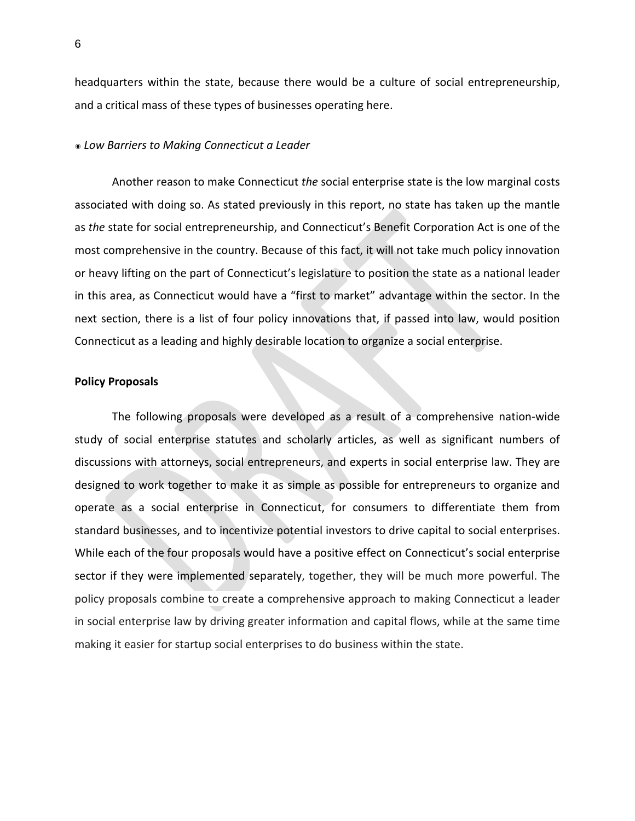headquarters within the state, because there would be a culture of social entrepreneurship, and a critical mass of these types of businesses operating here.

#### ๏ *Low Barriers to Making Connecticut a Leader*

Another reason to make Connecticut *the* social enterprise state is the low marginal costs associated with doing so. As stated previously in this report, no state has taken up the mantle as *the* state for social entrepreneurship, and Connecticut's Benefit Corporation Act is one of the most comprehensive in the country. Because of this fact, it will not take much policy innovation or heavy lifting on the part of Connecticut's legislature to position the state as a national leader in this area, as Connecticut would have a "first to market" advantage within the sector. In the next section, there is a list of four policy innovations that, if passed into law, would position Connecticut as a leading and highly desirable location to organize a social enterprise.

## **Policy Proposals**

The following proposals were developed as a result of a comprehensive nation-wide study of social enterprise statutes and scholarly articles, as well as significant numbers of discussions with attorneys, social entrepreneurs, and experts in social enterprise law. They are designed to work together to make it as simple as possible for entrepreneurs to organize and operate as a social enterprise in Connecticut, for consumers to differentiate them from standard businesses, and to incentivize potential investors to drive capital to social enterprises. While each of the four proposals would have a positive effect on Connecticut's social enterprise sector if they were implemented separately, together, they will be much more powerful. The policy proposals combine to create a comprehensive approach to making Connecticut a leader in social enterprise law by driving greater information and capital flows, while at the same time making it easier for startup social enterprises to do business within the state.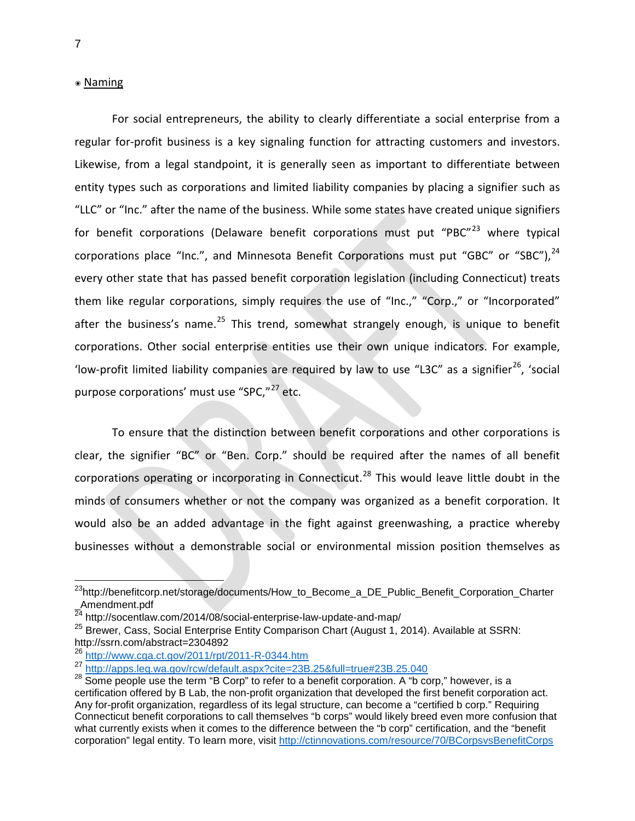## ๏ Naming

For social entrepreneurs, the ability to clearly differentiate a social enterprise from a regular for-profit business is a key signaling function for attracting customers and investors. Likewise, from a legal standpoint, it is generally seen as important to differentiate between entity types such as corporations and limited liability companies by placing a signifier such as "LLC" or "Inc." after the name of the business. While some states have created unique signifiers for benefit corporations (Delaware benefit corporations must put "PBC" $^{23}$  $^{23}$  $^{23}$  where typical corporations place "Inc.", and Minnesota Benefit Corporations must put "GBC" or "SBC"), [24](#page-6-1) every other state that has passed benefit corporation legislation (including Connecticut) treats them like regular corporations, simply requires the use of "Inc.," "Corp.," or "Incorporated" after the business's name.<sup>[25](#page-6-2)</sup> This trend, somewhat strangely enough, is unique to benefit corporations. Other social enterprise entities use their own unique indicators. For example, 'low-profit limited liability companies are required by law to use "L3C" as a signifier<sup>26</sup>, 'social purpose corporations' must use "SPC,"<sup>[27](#page-6-4)</sup> etc.

To ensure that the distinction between benefit corporations and other corporations is clear, the signifier "BC" or "Ben. Corp." should be required after the names of all benefit corporations operating or incorporating in Connecticut.<sup>[28](#page-6-5)</sup> This would leave little doubt in the minds of consumers whether or not the company was organized as a benefit corporation. It would also be an added advantage in the fight against greenwashing, a practice whereby businesses without a demonstrable social or environmental mission position themselves as

<span id="page-6-0"></span><sup>&</sup>lt;sup>23</sup>http://benefitcorp.net/storage/documents/How\_to\_Become\_a\_DE\_Public\_Benefit\_Corporation\_Charter \_Amendment.pdf

<span id="page-6-1"></span><sup>&</sup>lt;sup>24</sup> http://socentlaw.com/2014/08/social-enterprise-law-update-and-map/

<span id="page-6-2"></span><sup>&</sup>lt;sup>25</sup> Brewer, Cass, Social Enterprise Entity Comparison Chart (August 1, 2014). Available at SSRN: http://ssrn.com/abstract=2304892

<span id="page-6-3"></span><sup>26</sup> <http://www.cga.ct.gov/2011/rpt/2011-R-0344.htm>

<span id="page-6-5"></span>

<span id="page-6-4"></span><sup>27</sup> <http://apps.leg.wa.gov/rcw/default.aspx?cite=23B.25&full=true#23B.25.040><br><sup>28</sup> Some people use the term "B Corp" to refer to a benefit corporation. A "b corp," however, is a certification offered by B Lab, the non-profit organization that developed the first benefit corporation act. Any for-profit organization, regardless of its legal structure, can become a "certified b corp." Requiring Connecticut benefit corporations to call themselves "b corps" would likely breed even more confusion that what currently exists when it comes to the difference between the "b corp" certification, and the "benefit corporation" legal entity. To learn more, visit<http://ctinnovations.com/resource/70/BCorpsvsBenefitCorps>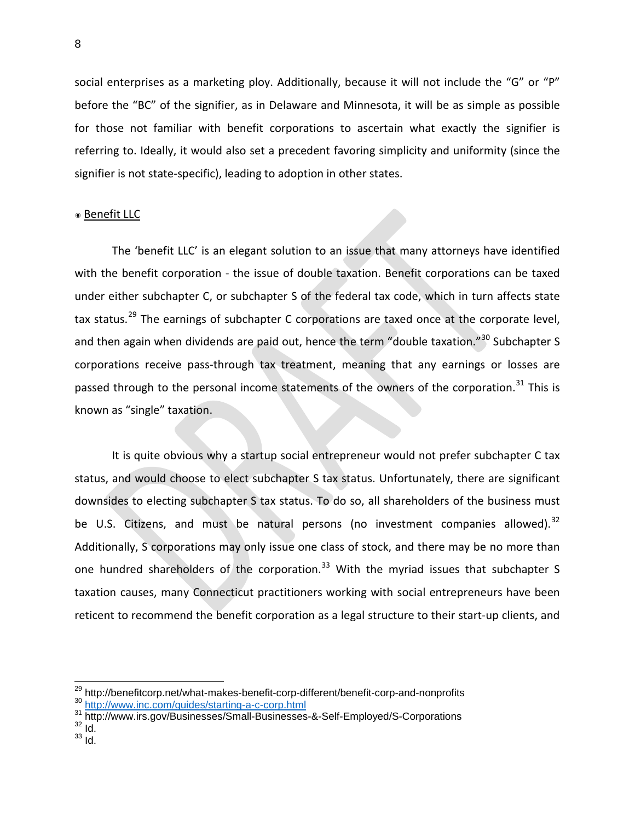social enterprises as a marketing ploy. Additionally, because it will not include the "G" or "P" before the "BC" of the signifier, as in Delaware and Minnesota, it will be as simple as possible for those not familiar with benefit corporations to ascertain what exactly the signifier is referring to. Ideally, it would also set a precedent favoring simplicity and uniformity (since the signifier is not state-specific), leading to adoption in other states.

### ๏ Benefit LLC

The 'benefit LLC' is an elegant solution to an issue that many attorneys have identified with the benefit corporation - the issue of double taxation. Benefit corporations can be taxed under either subchapter C, or subchapter S of the federal tax code, which in turn affects state tax status.<sup>[29](#page-7-0)</sup> The earnings of subchapter C corporations are taxed once at the corporate level, and then again when dividends are paid out, hence the term "double taxation."<sup>[30](#page-7-1)</sup> Subchapter S corporations receive pass-through tax treatment, meaning that any earnings or losses are passed through to the personal income statements of the owners of the corporation.<sup>[31](#page-7-2)</sup> This is known as "single" taxation.

It is quite obvious why a startup social entrepreneur would not prefer subchapter C tax status, and would choose to elect subchapter S tax status. Unfortunately, there are significant downsides to electing subchapter S tax status. To do so, all shareholders of the business must be U.S. Citizens, and must be natural persons (no investment companies allowed).<sup>[32](#page-7-3)</sup> Additionally, S corporations may only issue one class of stock, and there may be no more than one hundred shareholders of the corporation.<sup>[33](#page-7-4)</sup> With the myriad issues that subchapter S taxation causes, many Connecticut practitioners working with social entrepreneurs have been reticent to recommend the benefit corporation as a legal structure to their start-up clients, and

<span id="page-7-0"></span><sup>&</sup>lt;sup>29</sup> http://benefitcorp.net/what-makes-benefit-corp-different/benefit-corp-and-nonprofits<br><sup>30</sup> <http://www.inc.com/guides/starting-a-c-corp.html><br><sup>31</sup> http://www.irs.gov/Businesses/Small-Businesses-&-Self-Employed/S-Corpora

<span id="page-7-1"></span>

<span id="page-7-2"></span>

<span id="page-7-3"></span>

<span id="page-7-4"></span> $33 \overline{1d}$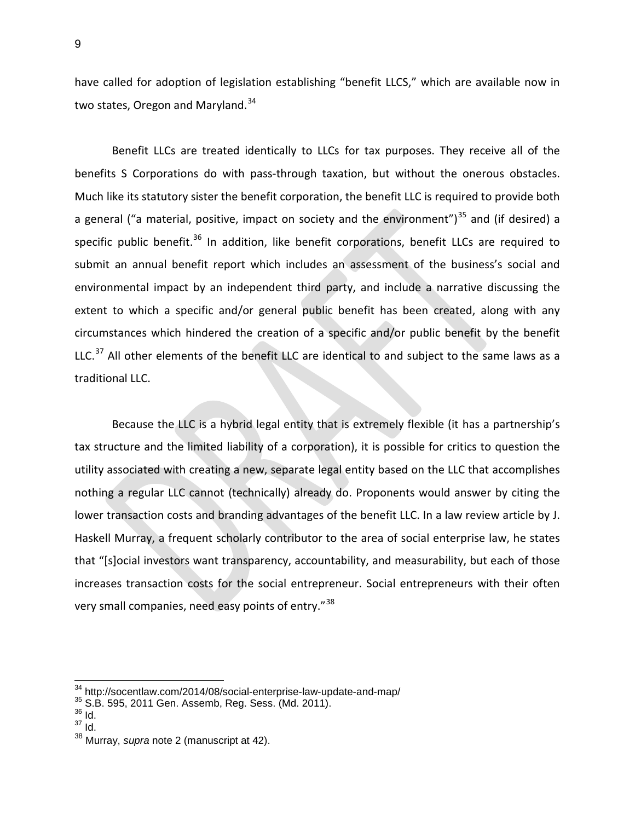have called for adoption of legislation establishing "benefit LLCS," which are available now in two states, Oregon and Maryland.<sup>[34](#page-8-0)</sup>

Benefit LLCs are treated identically to LLCs for tax purposes. They receive all of the benefits S Corporations do with pass-through taxation, but without the onerous obstacles. Much like its statutory sister the benefit corporation, the benefit LLC is required to provide both a general ("a material, positive, impact on society and the environment") $^{35}$  $^{35}$  $^{35}$  and (if desired) a specific public benefit.<sup>[36](#page-8-2)</sup> In addition, like benefit corporations, benefit LLCs are required to submit an annual benefit report which includes an assessment of the business's social and environmental impact by an independent third party, and include a narrative discussing the extent to which a specific and/or general public benefit has been created, along with any circumstances which hindered the creation of a specific and/or public benefit by the benefit LLC.<sup>[37](#page-8-3)</sup> All other elements of the benefit LLC are identical to and subject to the same laws as a traditional LLC.

Because the LLC is a hybrid legal entity that is extremely flexible (it has a partnership's tax structure and the limited liability of a corporation), it is possible for critics to question the utility associated with creating a new, separate legal entity based on the LLC that accomplishes nothing a regular LLC cannot (technically) already do. Proponents would answer by citing the lower transaction costs and branding advantages of the benefit LLC. In a law review article by J. Haskell Murray, a frequent scholarly contributor to the area of social enterprise law, he states that "[s]ocial investors want transparency, accountability, and measurability, but each of those increases transaction costs for the social entrepreneur. Social entrepreneurs with their often very small companies, need easy points of entry."<sup>[38](#page-8-4)</sup>

<span id="page-8-0"></span> $^{34}$  http://socentlaw.com/2014/08/social-enterprise-law-update-and-map/<br> $^{35}$  S.B. 595, 2011 Gen. Assemb, Reg. Sess. (Md. 2011).<br> $^{36}$  Id.

<span id="page-8-3"></span><span id="page-8-2"></span><span id="page-8-1"></span> $37 \overline{10}$ .

<span id="page-8-4"></span><sup>38</sup> Murray, *supra* note 2 (manuscript at 42).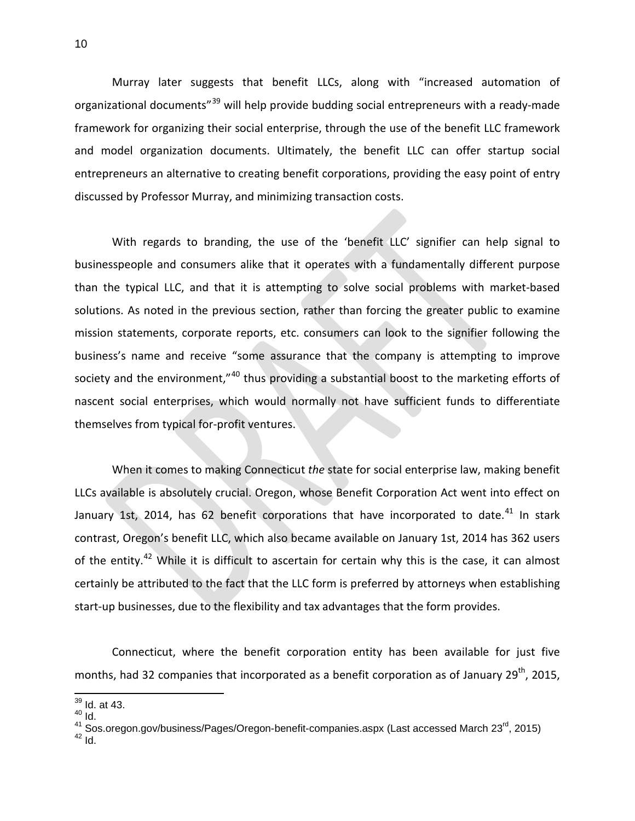Murray later suggests that benefit LLCs, along with "increased automation of organizational documents<sup>"[39](#page-9-0)</sup> will help provide budding social entrepreneurs with a ready-made framework for organizing their social enterprise, through the use of the benefit LLC framework and model organization documents. Ultimately, the benefit LLC can offer startup social entrepreneurs an alternative to creating benefit corporations, providing the easy point of entry discussed by Professor Murray, and minimizing transaction costs.

With regards to branding, the use of the 'benefit LLC' signifier can help signal to businesspeople and consumers alike that it operates with a fundamentally different purpose than the typical LLC, and that it is attempting to solve social problems with market-based solutions. As noted in the previous section, rather than forcing the greater public to examine mission statements, corporate reports, etc. consumers can look to the signifier following the business's name and receive "some assurance that the company is attempting to improve society and the environment,"<sup>[40](#page-9-1)</sup> thus providing a substantial boost to the marketing efforts of nascent social enterprises, which would normally not have sufficient funds to differentiate themselves from typical for-profit ventures.

When it comes to making Connecticut *the* state for social enterprise law, making benefit LLCs available is absolutely crucial. Oregon, whose Benefit Corporation Act went into effect on January 1st, 2014, has 62 benefit corporations that have incorporated to date.<sup>[41](#page-9-2)</sup> In stark contrast, Oregon's benefit LLC, which also became available on January 1st, 2014 has 362 users of the entity.<sup>[42](#page-9-3)</sup> While it is difficult to ascertain for certain why this is the case, it can almost certainly be attributed to the fact that the LLC form is preferred by attorneys when establishing start-up businesses, due to the flexibility and tax advantages that the form provides.

Connecticut, where the benefit corporation entity has been available for just five months, had 32 companies that incorporated as a benefit corporation as of January  $29<sup>th</sup>$ , 2015,

<span id="page-9-0"></span> <sup>39</sup> Id. at 43.

 $^{40}$  Id.

<span id="page-9-3"></span><span id="page-9-2"></span><span id="page-9-1"></span><sup>&</sup>lt;sup>41</sup> Sos.oregon.gov/business/Pages/Oregon-benefit-companies.aspx (Last accessed March 23<sup>rd</sup>, 2015)<br><sup>42</sup> Id.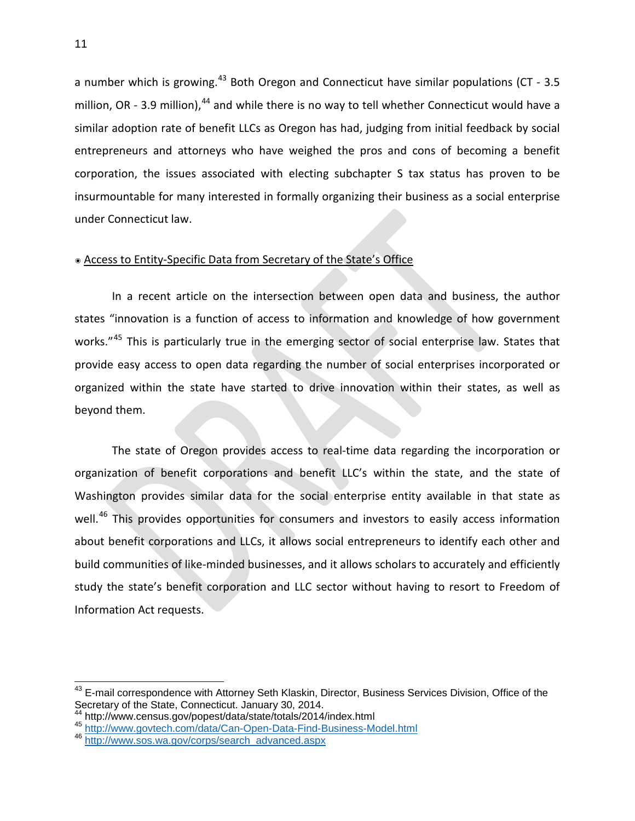a number which is growing.<sup>[43](#page-10-0)</sup> Both Oregon and Connecticut have similar populations (CT - 3.5) million, OR - 3.9 million), <sup>[44](#page-10-1)</sup> and while there is no way to tell whether Connecticut would have a similar adoption rate of benefit LLCs as Oregon has had, judging from initial feedback by social entrepreneurs and attorneys who have weighed the pros and cons of becoming a benefit corporation, the issues associated with electing subchapter S tax status has proven to be insurmountable for many interested in formally organizing their business as a social enterprise under Connecticut law.

## ๏ Access to Entity-Specific Data from Secretary of the State's Office

In a recent article on the intersection between open data and business, the author states "innovation is a function of access to information and knowledge of how government works."<sup>[45](#page-10-2)</sup> This is particularly true in the emerging sector of social enterprise law. States that provide easy access to open data regarding the number of social enterprises incorporated or organized within the state have started to drive innovation within their states, as well as beyond them.

The state of Oregon provides access to real-time data regarding the incorporation or organization of benefit corporations and benefit LLC's within the state, and the state of Washington provides similar data for the social enterprise entity available in that state as well.<sup>[46](#page-10-3)</sup> This provides opportunities for consumers and investors to easily access information about benefit corporations and LLCs, it allows social entrepreneurs to identify each other and build communities of like-minded businesses, and it allows scholars to accurately and efficiently study the state's benefit corporation and LLC sector without having to resort to Freedom of Information Act requests.

<span id="page-10-0"></span><sup>&</sup>lt;sup>43</sup> E-mail correspondence with Attorney Seth Klaskin, Director, Business Services Division, Office of the Secretary of the State, Connecticut. January 30, 2014.<br><sup>44</sup> http://www.census.gov/popest/data/state/totals/2014/index.html

<span id="page-10-2"></span><span id="page-10-1"></span>

<sup>&</sup>lt;sup>44</sup> http://www.census.gov/popest/data/state/totals/2014/index.html<br><sup>45</sup> <http://www.govtech.com/data/Can-Open-Data-Find-Business-Model.html>

<span id="page-10-3"></span><sup>&</sup>lt;sup>46</sup> [http://www.sos.wa.gov/corps/search\\_advanced.aspx](http://www.sos.wa.gov/corps/search_advanced.aspx)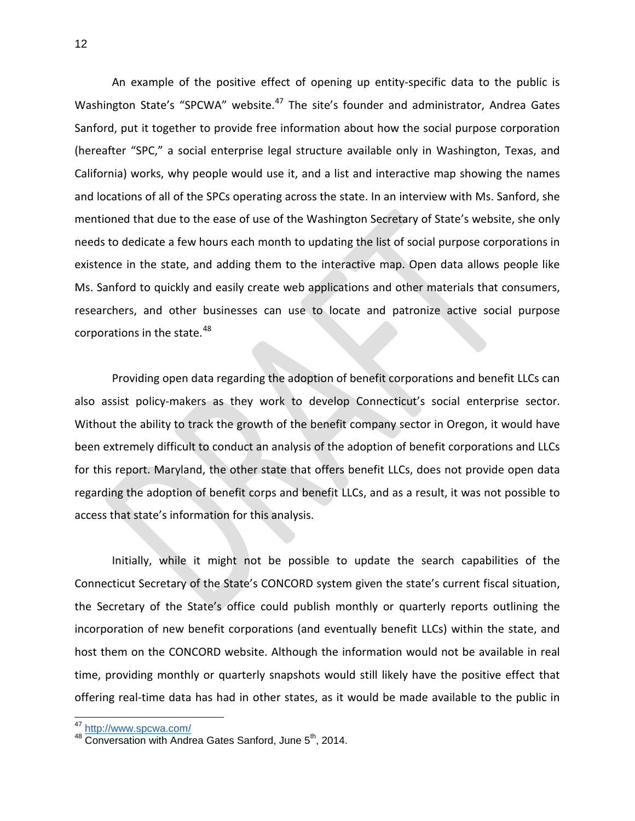An example of the positive effect of opening up entity-specific data to the public is Washington State's "SPCWA" website.<sup>[47](#page-11-0)</sup> The site's founder and administrator, Andrea Gates Sanford, put it together to provide free information about how the social purpose corporation (hereafter "SPC," a social enterprise legal structure available only in Washington, Texas, and California) works, why people would use it, and a list and interactive map showing the names and locations of all of the SPCs operating across the state. In an interview with Ms. Sanford, she mentioned that due to the ease of use of the Washington Secretary of State's website, she only needs to dedicate a few hours each month to updating the list of social purpose corporations in existence in the state, and adding them to the interactive map. Open data allows people like Ms. Sanford to quickly and easily create web applications and other materials that consumers, researchers, and other businesses can use to locate and patronize active social purpose corporations in the state.<sup>[48](#page-11-1)</sup>

Providing open data regarding the adoption of benefit corporations and benefit LLCs can also assist policy-makers as they work to develop Connecticut's social enterprise sector. Without the ability to track the growth of the benefit company sector in Oregon, it would have been extremely difficult to conduct an analysis of the adoption of benefit corporations and LLCs for this report. Maryland, the other state that offers benefit LLCs, does not provide open data regarding the adoption of benefit corps and benefit LLCs, and as a result, it was not possible to access that state's information for this analysis.

Initially, while it might not be possible to update the search capabilities of the Connecticut Secretary of the State's CONCORD system given the state's current fiscal situation, the Secretary of the State's office could publish monthly or quarterly reports outlining the incorporation of new benefit corporations (and eventually benefit LLCs) within the state, and host them on the CONCORD website. Although the information would not be available in real time, providing monthly or quarterly snapshots would still likely have the positive effect that offering real-time data has had in other states, as it would be made available to the public in

<span id="page-11-1"></span><span id="page-11-0"></span>

<sup>&</sup>lt;sup>47</sup> <http://www.spcwa.com/><br><sup>48</sup> Conversation with Andrea Gates Sanford, June 5<sup>th</sup>, 2014.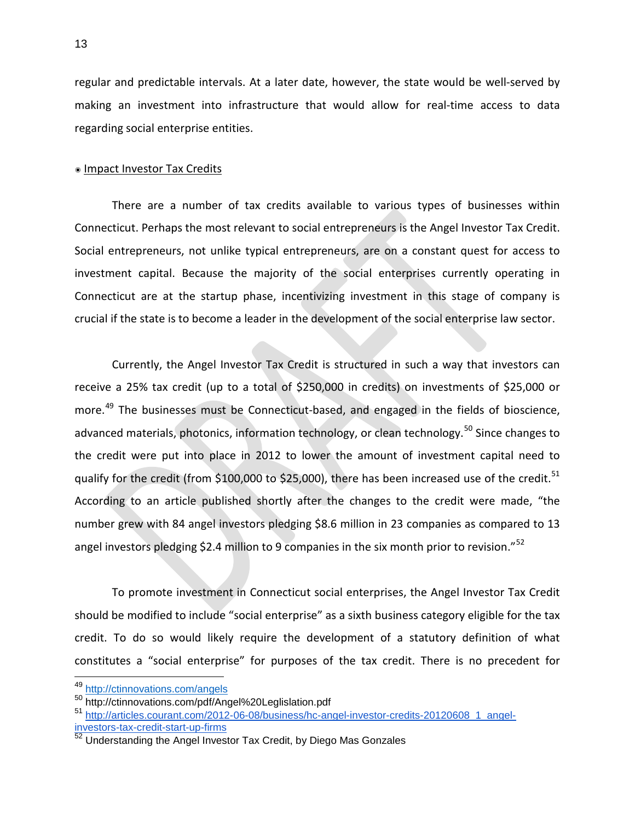regular and predictable intervals. At a later date, however, the state would be well-served by making an investment into infrastructure that would allow for real-time access to data regarding social enterprise entities.

#### ๏ Impact Investor Tax Credits

There are a number of tax credits available to various types of businesses within Connecticut. Perhaps the most relevant to social entrepreneurs is the Angel Investor Tax Credit. Social entrepreneurs, not unlike typical entrepreneurs, are on a constant quest for access to investment capital. Because the majority of the social enterprises currently operating in Connecticut are at the startup phase, incentivizing investment in this stage of company is crucial if the state is to become a leader in the development of the social enterprise law sector.

Currently, the Angel Investor Tax Credit is structured in such a way that investors can receive a 25% tax credit (up to a total of \$250,000 in credits) on investments of \$25,000 or more.<sup>[49](#page-12-0)</sup> The businesses must be Connecticut-based, and engaged in the fields of bioscience, advanced materials, photonics, information technology, or clean technology.<sup>[50](#page-12-1)</sup> Since changes to the credit were put into place in 2012 to lower the amount of investment capital need to qualify for the credit (from \$100,000 to \$25,000), there has been increased use of the credit.<sup>[51](#page-12-2)</sup> According to an article published shortly after the changes to the credit were made, "the number grew with 84 angel investors pledging \$8.6 million in 23 companies as compared to 13 angel investors pledging \$2.4 million to 9 companies in the six month prior to revision."<sup>[52](#page-12-3)</sup>

To promote investment in Connecticut social enterprises, the Angel Investor Tax Credit should be modified to include "social enterprise" as a sixth business category eligible for the tax credit. To do so would likely require the development of a statutory definition of what constitutes a "social enterprise" for purposes of the tax credit. There is no precedent for

<sup>49</sup> <http://ctinnovations.com/angels>

<span id="page-12-1"></span><span id="page-12-0"></span><sup>50</sup> http://ctinnovations.com/pdf/Angel%20Leglislation.pdf

<span id="page-12-2"></span><sup>51</sup> [http://articles.courant.com/2012-06-08/business/hc-angel-investor-credits-20120608\\_1\\_angel](http://articles.courant.com/2012-06-08/business/hc-angel-investor-credits-20120608_1_angel-investors-tax-credit-start-up-firms)[investors-tax-credit-start-up-firms](http://articles.courant.com/2012-06-08/business/hc-angel-investor-credits-20120608_1_angel-investors-tax-credit-start-up-firms)

<span id="page-12-3"></span> $52$  Understanding the Angel Investor Tax Credit, by Diego Mas Gonzales